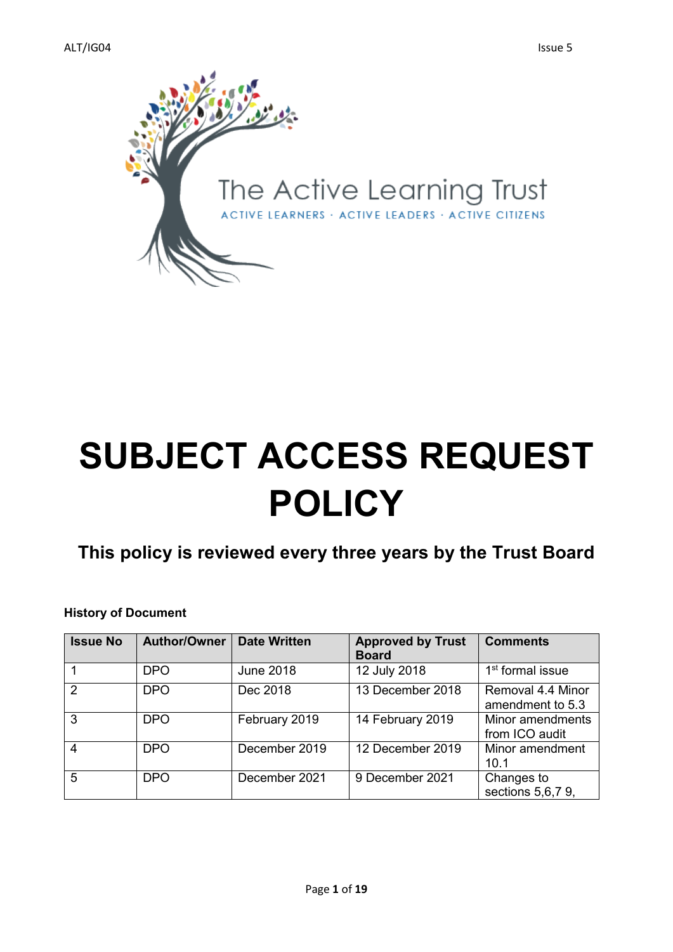

# **SUBJECT ACCESS REQUEST POLICY**

# **This policy is reviewed every three years by the Trust Board**

#### **History of Document**

| <b>Issue No</b> | Author/Owner | <b>Date Written</b> | <b>Approved by Trust</b><br><b>Board</b> | <b>Comments</b>                       |
|-----------------|--------------|---------------------|------------------------------------------|---------------------------------------|
|                 | <b>DPO</b>   | <b>June 2018</b>    | 12 July 2018                             | 1 <sup>st</sup> formal issue          |
| $\mathcal{P}$   | <b>DPO</b>   | Dec 2018            | 13 December 2018                         | Removal 4.4 Minor<br>amendment to 5.3 |
| 3               | <b>DPO</b>   | February 2019       | 14 February 2019                         | Minor amendments<br>from ICO audit    |
| 4               | <b>DPO</b>   | December 2019       | 12 December 2019                         | Minor amendment<br>10.1               |
| 5               | <b>DPO</b>   | December 2021       | 9 December 2021                          | Changes to<br>sections 5,6,7 9,       |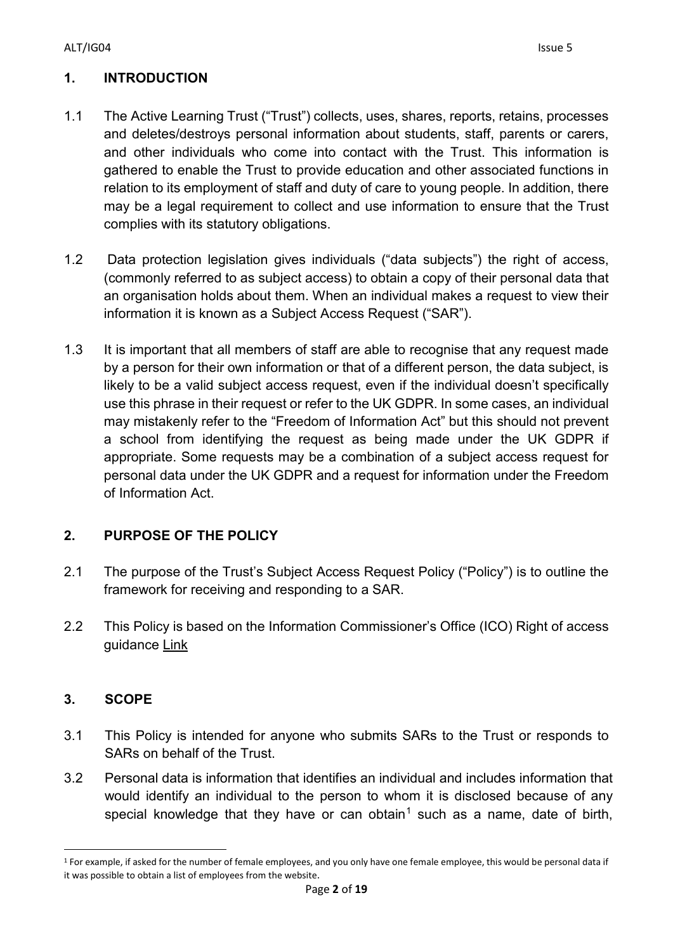# **1. INTRODUCTION**

- 1.1 The Active Learning Trust ("Trust") collects, uses, shares, reports, retains, processes and deletes/destroys personal information about students, staff, parents or carers, and other individuals who come into contact with the Trust. This information is gathered to enable the Trust to provide education and other associated functions in relation to its employment of staff and duty of care to young people. In addition, there may be a legal requirement to collect and use information to ensure that the Trust complies with its statutory obligations.
- 1.2 Data protection legislation gives individuals ("data subjects") the right of access, (commonly referred to as subject access) to obtain a copy of their personal data that an organisation holds about them. When an individual makes a request to view their information it is known as a Subject Access Request ("SAR").
- 1.3 It is important that all members of staff are able to recognise that any request made by a person for their own information or that of a different person, the data subject, is likely to be a valid subject access request, even if the individual doesn't specifically use this phrase in their request or refer to the UK GDPR. In some cases, an individual may mistakenly refer to the "Freedom of Information Act" but this should not prevent a school from identifying the request as being made under the UK GDPR if appropriate. Some requests may be a combination of a subject access request for personal data under the UK GDPR and a request for information under the Freedom of Information Act.

# **2. PURPOSE OF THE POLICY**

- 2.1 The purpose of the Trust's Subject Access Request Policy ("Policy") is to outline the framework for receiving and responding to a SAR.
- 2.2 This Policy is based on the Information Commissioner's Office (ICO) Right of access guidance [Link](https://ico.org.uk/for-organisations/guide-to-data-protection/guide-to-the-general-data-protection-regulation-gdpr/right-of-access/)

# **3. SCOPE**

- 3.1 This Policy is intended for anyone who submits SARs to the Trust or responds to SARs on behalf of the Trust.
- 3.2 Personal data is information that identifies an individual and includes information that would identify an individual to the person to whom it is disclosed because of any special knowledge that they have or can obtain<sup>[1](#page-1-0)</sup> such as a name, date of birth,

<span id="page-1-0"></span><sup>&</sup>lt;sup>1</sup> For example, if asked for the number of female employees, and you only have one female employee, this would be personal data if it was possible to obtain a list of employees from the website.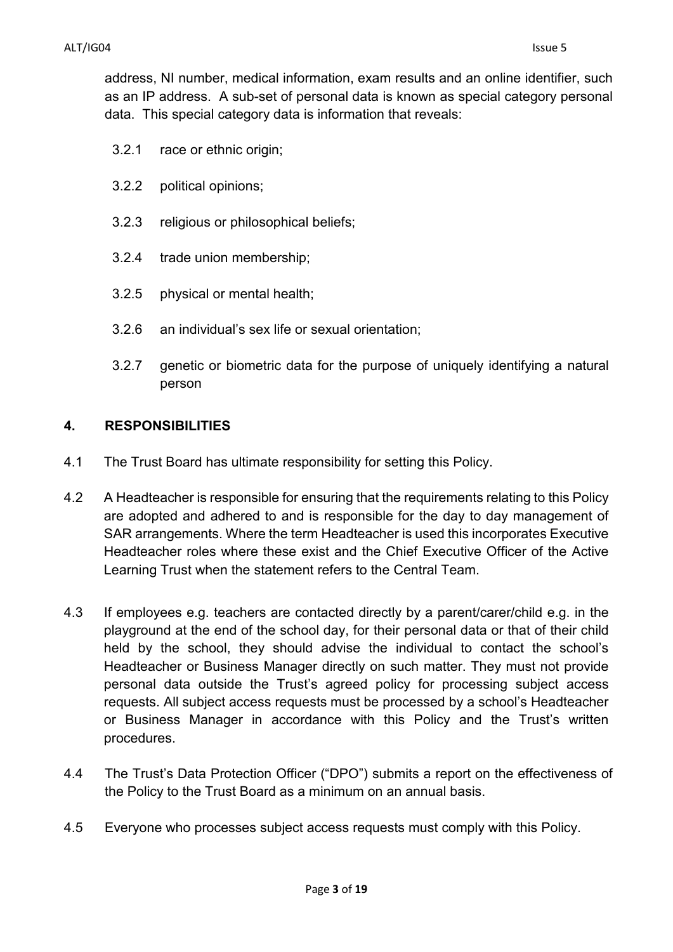address, NI number, medical information, exam results and an online identifier, such as an IP address. A sub-set of personal data is known as special category personal data. This special category data is information that reveals:

- 3.2.1 race or ethnic origin;
- 3.2.2 political opinions;
- 3.2.3 religious or philosophical beliefs;
- 3.2.4 trade union membership;
- 3.2.5 physical or mental health;
- 3.2.6 an individual's sex life or sexual orientation;
- 3.2.7 genetic or biometric data for the purpose of uniquely identifying a natural person

#### **4. RESPONSIBILITIES**

- 4.1 The Trust Board has ultimate responsibility for setting this Policy.
- 4.2 A Headteacher is responsible for ensuring that the requirements relating to this Policy are adopted and adhered to and is responsible for the day to day management of SAR arrangements. Where the term Headteacher is used this incorporates Executive Headteacher roles where these exist and the Chief Executive Officer of the Active Learning Trust when the statement refers to the Central Team.
- 4.3 If employees e.g. teachers are contacted directly by a parent/carer/child e.g. in the playground at the end of the school day, for their personal data or that of their child held by the school, they should advise the individual to contact the school's Headteacher or Business Manager directly on such matter. They must not provide personal data outside the Trust's agreed policy for processing subject access requests. All subject access requests must be processed by a school's Headteacher or Business Manager in accordance with this Policy and the Trust's written procedures.
- 4.4 The Trust's Data Protection Officer ("DPO") submits a report on the effectiveness of the Policy to the Trust Board as a minimum on an annual basis.
- 4.5 Everyone who processes subject access requests must comply with this Policy.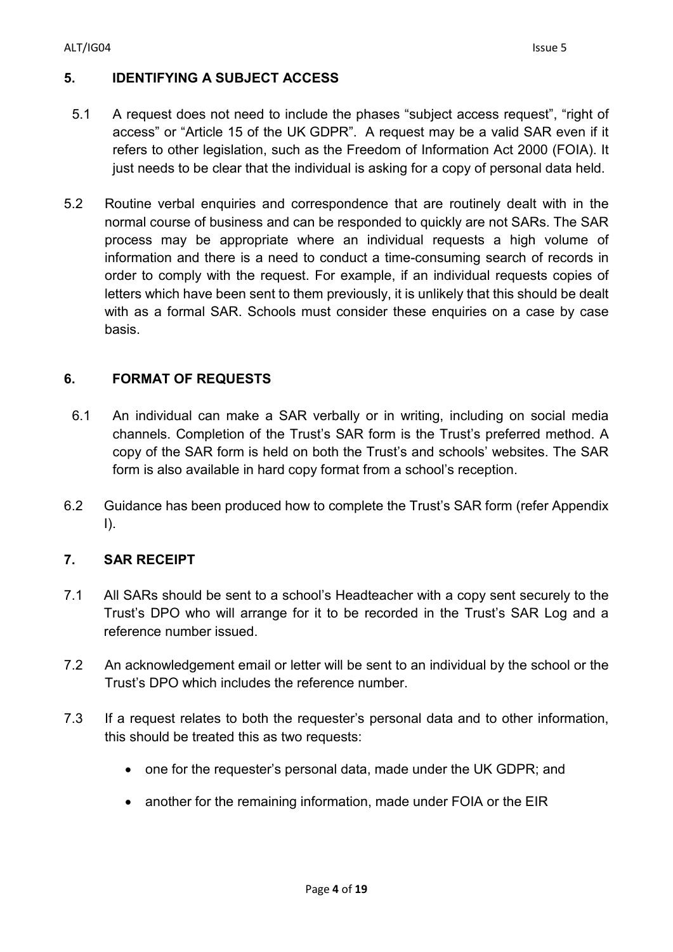## **5. IDENTIFYING A SUBJECT ACCESS**

- 5.1 A request does not need to include the phases "subject access request", "right of access" or "Article 15 of the UK GDPR". A request may be a valid SAR even if it refers to other legislation, such as the Freedom of Information Act 2000 (FOIA). It just needs to be clear that the individual is asking for a copy of personal data held.
- 5.2 Routine verbal enquiries and correspondence that are routinely dealt with in the normal course of business and can be responded to quickly are not SARs. The SAR process may be appropriate where an individual requests a high volume of information and there is a need to conduct a time-consuming search of records in order to comply with the request. For example, if an individual requests copies of letters which have been sent to them previously, it is unlikely that this should be dealt with as a formal SAR. Schools must consider these enquiries on a case by case basis.

# **6. FORMAT OF REQUESTS**

- 6.1 An individual can make a SAR verbally or in writing, including on social media channels. Completion of the Trust's SAR form is the Trust's preferred method. A copy of the SAR form is held on both the Trust's and schools' websites. The SAR form is also available in hard copy format from a school's reception.
- 6.2 Guidance has been produced how to complete the Trust's SAR form (refer Appendix I).

## **7. SAR RECEIPT**

- 7.1 All SARs should be sent to a school's Headteacher with a copy sent securely to the Trust's DPO who will arrange for it to be recorded in the Trust's SAR Log and a reference number issued.
- 7.2 An acknowledgement email or letter will be sent to an individual by the school or the Trust's DPO which includes the reference number.
- 7.3 If a request relates to both the requester's personal data and to other information, this should be treated this as two requests:
	- one for the requester's personal data, made under the UK GDPR; and
	- another for the remaining information, made under FOIA or the EIR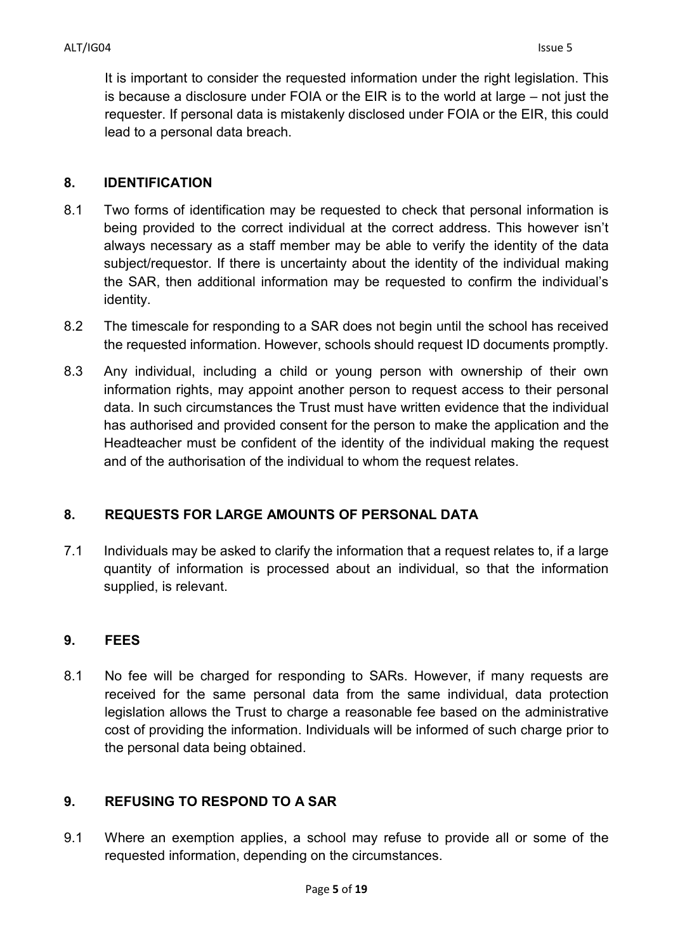It is important to consider the requested information under the right legislation. This is because a disclosure under FOIA or the EIR is to the world at large – not just the requester. If personal data is mistakenly disclosed under FOIA or the EIR, this could lead to a personal data breach.

#### **8. IDENTIFICATION**

- 8.1 Two forms of identification may be requested to check that personal information is being provided to the correct individual at the correct address. This however isn't always necessary as a staff member may be able to verify the identity of the data subject/requestor. If there is uncertainty about the identity of the individual making the SAR, then additional information may be requested to confirm the individual's identity.
- 8.2 The timescale for responding to a SAR does not begin until the school has received the requested information. However, schools should request ID documents promptly.
- 8.3 Any individual, including a child or young person with ownership of their own information rights, may appoint another person to request access to their personal data. In such circumstances the Trust must have written evidence that the individual has authorised and provided consent for the person to make the application and the Headteacher must be confident of the identity of the individual making the request and of the authorisation of the individual to whom the request relates.

## **8. REQUESTS FOR LARGE AMOUNTS OF PERSONAL DATA**

7.1 Individuals may be asked to clarify the information that a request relates to, if a large quantity of information is processed about an individual, so that the information supplied, is relevant.

## **9. FEES**

8.1 No fee will be charged for responding to SARs. However, if many requests are received for the same personal data from the same individual, data protection legislation allows the Trust to charge a reasonable fee based on the administrative cost of providing the information. Individuals will be informed of such charge prior to the personal data being obtained.

## **9. REFUSING TO RESPOND TO A SAR**

9.1 Where an exemption applies, a school may refuse to provide all or some of the requested information, depending on the circumstances.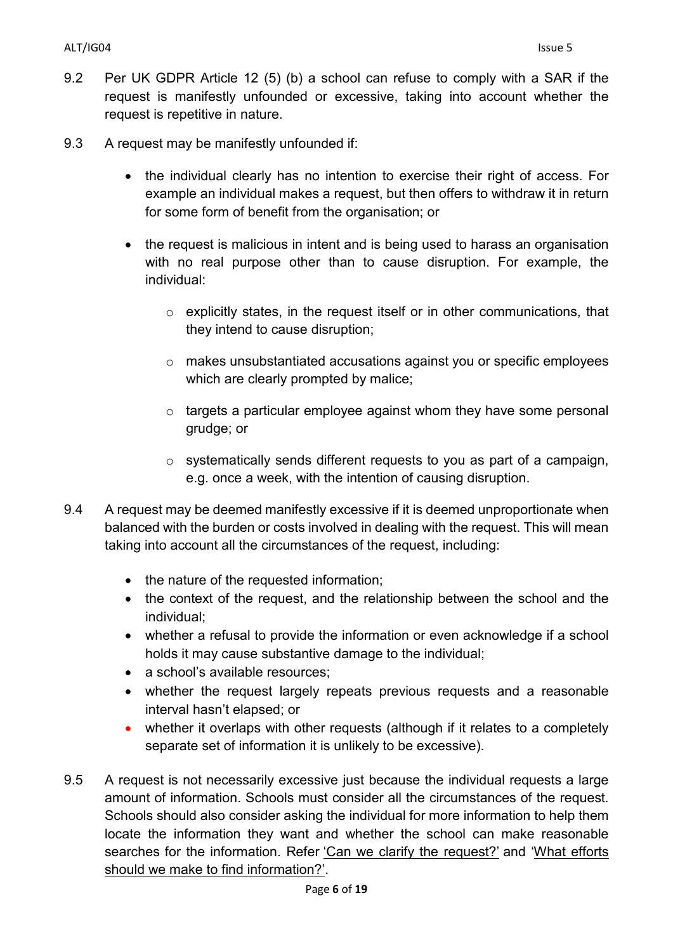- 9.2 Per UK GDPR Article 12 (5) (b) a school can refuse to comply with a SAR if the request is manifestly unfounded or excessive, taking into account whether the request is repetitive in nature.
- 9.3 A request may be manifestly unfounded if:
	- the individual clearly has no intention to exercise their right of access. For example an individual makes a request, but then offers to withdraw it in return for some form of benefit from the organisation; or
	- the request is malicious in intent and is being used to harass an organisation with no real purpose other than to cause disruption. For example, the individual:
		- $\circ$  explicitly states, in the request itself or in other communications, that they intend to cause disruption;
		- o makes unsubstantiated accusations against you or specific employees which are clearly prompted by malice;
		- $\circ$  targets a particular employee against whom they have some personal grudge; or
		- $\circ$  systematically sends different requests to you as part of a campaign, e.g. once a week, with the intention of causing disruption.
- 9.4 A request may be deemed manifestly excessive if it is deemed unproportionate when balanced with the burden or costs involved in dealing with the request. This will mean taking into account all the circumstances of the request, including:
	- the nature of the requested information;
	- the context of the request, and the relationship between the school and the individual;
	- whether a refusal to provide the information or even acknowledge if a school holds it may cause substantive damage to the individual;
	- a school's available resources;
	- whether the request largely repeats previous requests and a reasonable interval hasn't elapsed; or
	- whether it overlaps with other requests (although if it relates to a completely separate set of information it is unlikely to be excessive).
- 9.5 A request is not necessarily excessive just because the individual requests a large amount of information. Schools must consider all the circumstances of the request. Schools should also consider asking the individual for more information to help them locate the information they want and whether the school can make reasonable searches for the information. Refer ['Can we clarify the request?'](https://ico.org.uk/for-organisations/guide-to-data-protection/guide-to-the-general-data-protection-regulation-gdpr/right-of-access/what-should-we-consider-when-responding-to-a-request/#clarify) and ['What efforts](https://ico.org.uk/for-organisations/guide-to-data-protection/guide-to-the-general-data-protection-regulation-gdpr/right-of-access/how-do-we-find-and-retrieve-the-relevant-information/#efforts)  [should we make to find information?'.](https://ico.org.uk/for-organisations/guide-to-data-protection/guide-to-the-general-data-protection-regulation-gdpr/right-of-access/how-do-we-find-and-retrieve-the-relevant-information/#efforts)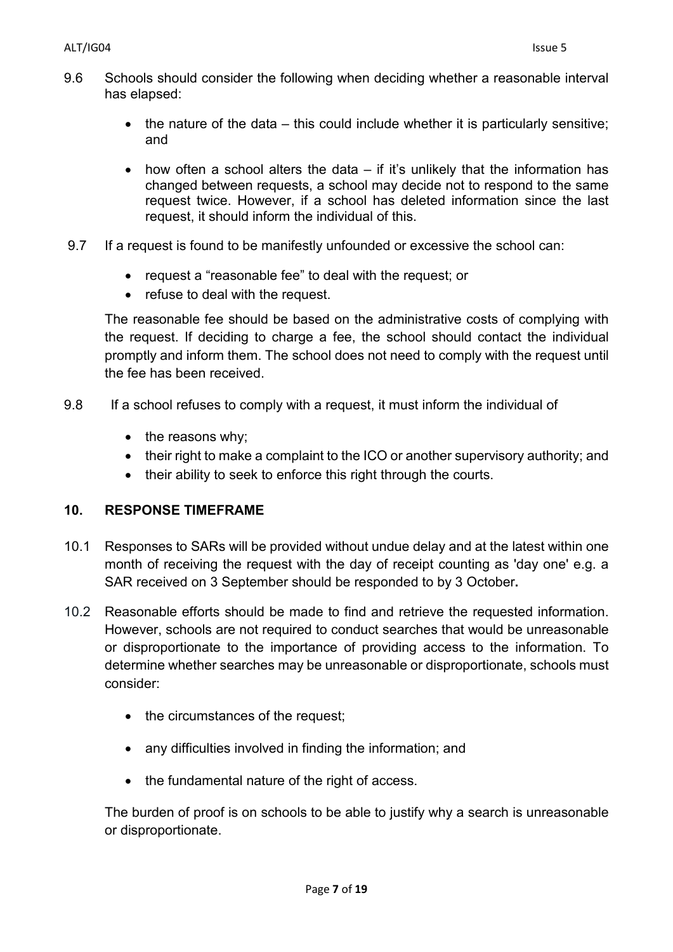- 9.6 Schools should consider the following when deciding whether a reasonable interval has elapsed:
	- the nature of the data  $-$  this could include whether it is particularly sensitive; and
	- how often a school alters the data  $-$  if it's unlikely that the information has changed between requests, a school may decide not to respond to the same request twice. However, if a school has deleted information since the last request, it should inform the individual of this.
- 9.7 If a request is found to be manifestly unfounded or excessive the school can:
	- request a "reasonable fee" to deal with the request; or
	- refuse to deal with the request.

The reasonable fee should be based on the administrative costs of complying with the request. If deciding to charge a fee, the school should contact the individual promptly and inform them. The school does not need to comply with the request until the fee has been received.

- 9.8 If a school refuses to comply with a request, it must inform the individual of
	- the reasons why;
	- their right to make a complaint to the ICO or another supervisory authority; and
	- their ability to seek to enforce this right through the courts.

# **10. RESPONSE TIMEFRAME**

- 10.1 Responses to SARs will be provided without undue delay and at the latest within one month of receiving the request with the day of receipt counting as 'day one' e.g. a SAR received on 3 September should be responded to by 3 October**.**
- 10.2 Reasonable efforts should be made to find and retrieve the requested information. However, schools are not required to conduct searches that would be unreasonable or disproportionate to the importance of providing access to the information. To determine whether searches may be unreasonable or disproportionate, schools must consider:
	- the circumstances of the request;
	- any difficulties involved in finding the information; and
	- the fundamental nature of the right of access.

The burden of proof is on schools to be able to justify why a search is unreasonable or disproportionate.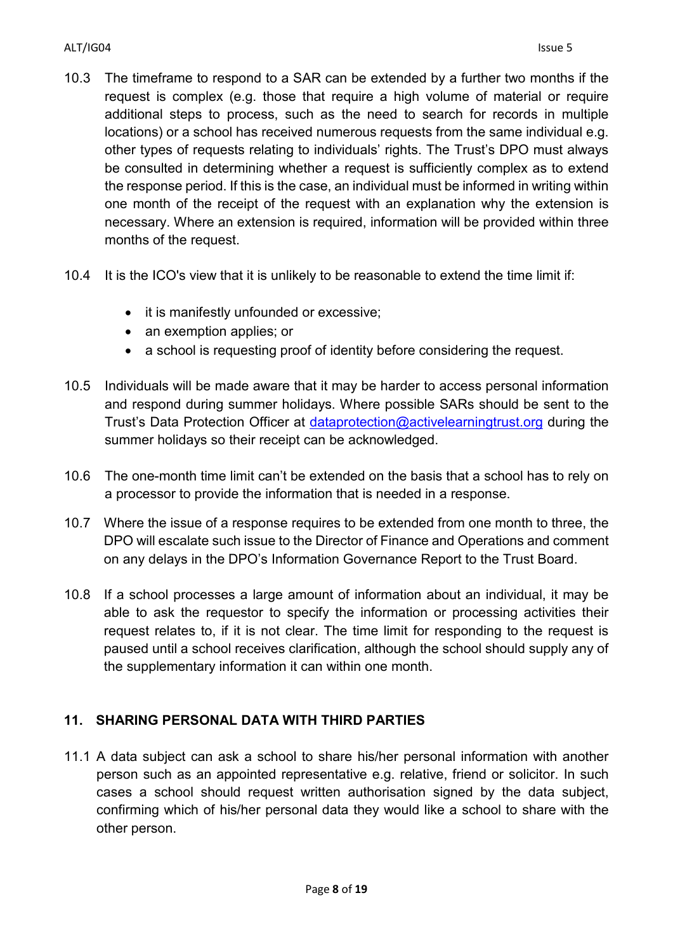- 10.3 The timeframe to respond to a SAR can be extended by a further two months if the request is complex (e.g. those that require a high volume of material or require additional steps to process, such as the need to search for records in multiple locations) or a school has received numerous requests from the same individual e.g. other types of requests relating to individuals' rights. The Trust's DPO must always be consulted in determining whether a request is sufficiently complex as to extend the response period. If this is the case, an individual must be informed in writing within one month of the receipt of the request with an explanation why the extension is necessary. Where an extension is required, information will be provided within three months of the request.
- 10.4 It is the ICO's view that it is unlikely to be reasonable to extend the time limit if:
	- it is manifestly unfounded or excessive;
	- an exemption applies; or
	- a school is requesting proof of identity before considering the request.
- 10.5 Individuals will be made aware that it may be harder to access personal information and respond during summer holidays. Where possible SARs should be sent to the Trust's Data Protection Officer at [dataprotection@activelearningtrust.org](mailto:dataprotection@activelearningtrust.org) during the summer holidays so their receipt can be acknowledged.
- 10.6 The one-month time limit can't be extended on the basis that a school has to rely on a processor to provide the information that is needed in a response.
- 10.7 Where the issue of a response requires to be extended from one month to three, the DPO will escalate such issue to the Director of Finance and Operations and comment on any delays in the DPO's Information Governance Report to the Trust Board.
- 10.8 If a school processes a large amount of information about an individual, it may be able to ask the requestor to specify the information or processing activities their request relates to, if it is not clear. The time limit for responding to the request is paused until a school receives clarification, although the school should supply any of the supplementary information it can within one month.

# **11. SHARING PERSONAL DATA WITH THIRD PARTIES**

11.1 A data subject can ask a school to share his/her personal information with another person such as an appointed representative e.g. relative, friend or solicitor. In such cases a school should request written authorisation signed by the data subject, confirming which of his/her personal data they would like a school to share with the other person.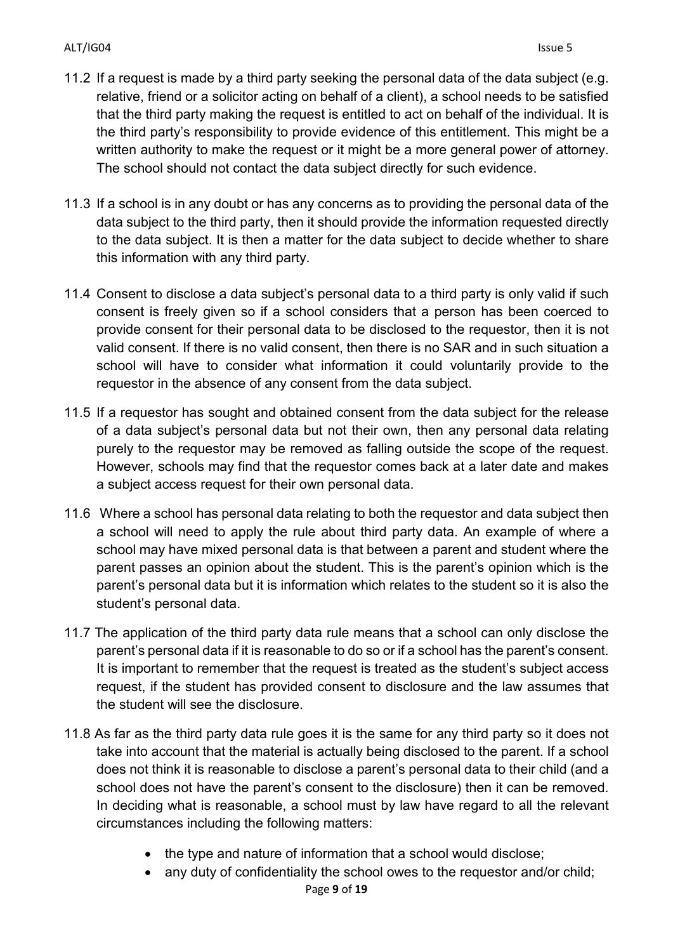- 11.2 If a request is made by a third party seeking the personal data of the data subject (e.g. relative, friend or a solicitor acting on behalf of a client), a school needs to be satisfied that the third party making the request is entitled to act on behalf of the individual. It is the third party's responsibility to provide evidence of this entitlement. This might be a written authority to make the request or it might be a more general power of attorney. The school should not contact the data subject directly for such evidence.
- 11.3 If a school is in any doubt or has any concerns as to providing the personal data of the data subject to the third party, then it should provide the information requested directly to the data subject. It is then a matter for the data subject to decide whether to share this information with any third party.
- 11.4 Consent to disclose a data subject's personal data to a third party is only valid if such consent is freely given so if a school considers that a person has been coerced to provide consent for their personal data to be disclosed to the requestor, then it is not valid consent. If there is no valid consent, then there is no SAR and in such situation a school will have to consider what information it could voluntarily provide to the requestor in the absence of any consent from the data subject.
- 11.5 If a requestor has sought and obtained consent from the data subject for the release of a data subject's personal data but not their own, then any personal data relating purely to the requestor may be removed as falling outside the scope of the request. However, schools may find that the requestor comes back at a later date and makes a subject access request for their own personal data.
- 11.6 Where a school has personal data relating to both the requestor and data subject then a school will need to apply the rule about third party data. An example of where a school may have mixed personal data is that between a parent and student where the parent passes an opinion about the student. This is the parent's opinion which is the parent's personal data but it is information which relates to the student so it is also the student's personal data.
- 11.7 The application of the third party data rule means that a school can only disclose the parent's personal data if it is reasonable to do so or if a school has the parent's consent. It is important to remember that the request is treated as the student's subject access request, if the student has provided consent to disclosure and the law assumes that the student will see the disclosure.
- 11.8 As far as the third party data rule goes it is the same for any third party so it does not take into account that the material is actually being disclosed to the parent. If a school does not think it is reasonable to disclose a parent's personal data to their child (and a school does not have the parent's consent to the disclosure) then it can be removed. In deciding what is reasonable, a school must by law have regard to all the relevant circumstances including the following matters:
	- the type and nature of information that a school would disclose;
	- any duty of confidentiality the school owes to the requestor and/or child;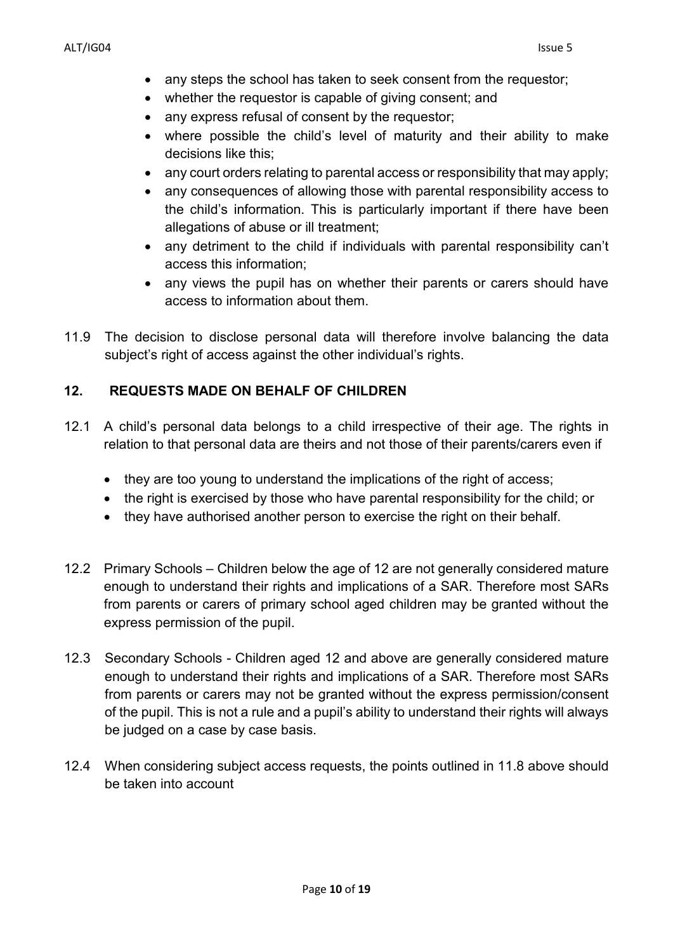- any steps the school has taken to seek consent from the requestor;
- whether the requestor is capable of giving consent; and
- any express refusal of consent by the requestor;
- where possible the child's level of maturity and their ability to make decisions like this;
- any court orders relating to parental access or responsibility that may apply;
- any consequences of allowing those with parental responsibility access to the child's information. This is particularly important if there have been allegations of abuse or ill treatment;
- any detriment to the child if individuals with parental responsibility can't access this information;
- any views the pupil has on whether their parents or carers should have access to information about them.
- 11.9 The decision to disclose personal data will therefore involve balancing the data subject's right of access against the other individual's rights.

# **12. REQUESTS MADE ON BEHALF OF CHILDREN**

- 12.1 A child's personal data belongs to a child irrespective of their age. The rights in relation to that personal data are theirs and not those of their parents/carers even if
	- they are too young to understand the implications of the right of access;
	- the right is exercised by those who have parental responsibility for the child; or
	- they have authorised another person to exercise the right on their behalf.
- 12.2 Primary Schools Children below the age of 12 are not generally considered mature enough to understand their rights and implications of a SAR. Therefore most SARs from parents or carers of primary school aged children may be granted without the express permission of the pupil.
- 12.3 Secondary Schools Children aged 12 and above are generally considered mature enough to understand their rights and implications of a SAR. Therefore most SARs from parents or carers may not be granted without the express permission/consent of the pupil. This is not a rule and a pupil's ability to understand their rights will always be judged on a case by case basis.
- 12.4 When considering subject access requests, the points outlined in 11.8 above should be taken into account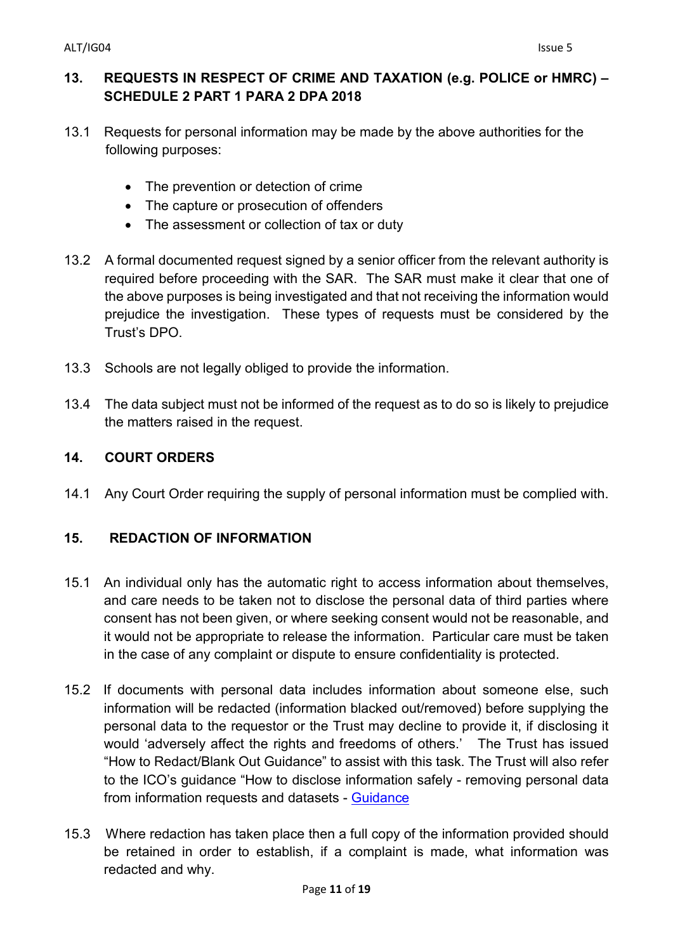## **13. REQUESTS IN RESPECT OF CRIME AND TAXATION (e.g. POLICE or HMRC) – SCHEDULE 2 PART 1 PARA 2 DPA 2018**

- 13.1 Requests for personal information may be made by the above authorities for the following purposes:
	- The prevention or detection of crime
	- The capture or prosecution of offenders
	- The assessment or collection of tax or duty
- 13.2 A formal documented request signed by a senior officer from the relevant authority is required before proceeding with the SAR. The SAR must make it clear that one of the above purposes is being investigated and that not receiving the information would prejudice the investigation. These types of requests must be considered by the Trust's DPO.
- 13.3 Schools are not legally obliged to provide the information.
- 13.4 The data subject must not be informed of the request as to do so is likely to prejudice the matters raised in the request.

# **14. COURT ORDERS**

14.1 Any Court Order requiring the supply of personal information must be complied with.

# **15. REDACTION OF INFORMATION**

- 15.1 An individual only has the automatic right to access information about themselves, and care needs to be taken not to disclose the personal data of third parties where consent has not been given, or where seeking consent would not be reasonable, and it would not be appropriate to release the information. Particular care must be taken in the case of any complaint or dispute to ensure confidentiality is protected.
- 15.2 If documents with personal data includes information about someone else, such information will be redacted (information blacked out/removed) before supplying the personal data to the requestor or the Trust may decline to provide it, if disclosing it would 'adversely affect the rights and freedoms of others.' The Trust has issued "How to Redact/Blank Out Guidance" to assist with this task. The Trust will also refer to the ICO's guidance "How to disclose information safely - removing personal data from information requests and datasets - [Guidance](https://ico.org.uk/media/for-organisations/documents/how-to-disclose-information-safely-removing-personal-data-from-information-requests-and-datasets/2013958/how-to-disclose-information-safely.pdf)
- 15.3 Where redaction has taken place then a full copy of the information provided should be retained in order to establish, if a complaint is made, what information was redacted and why.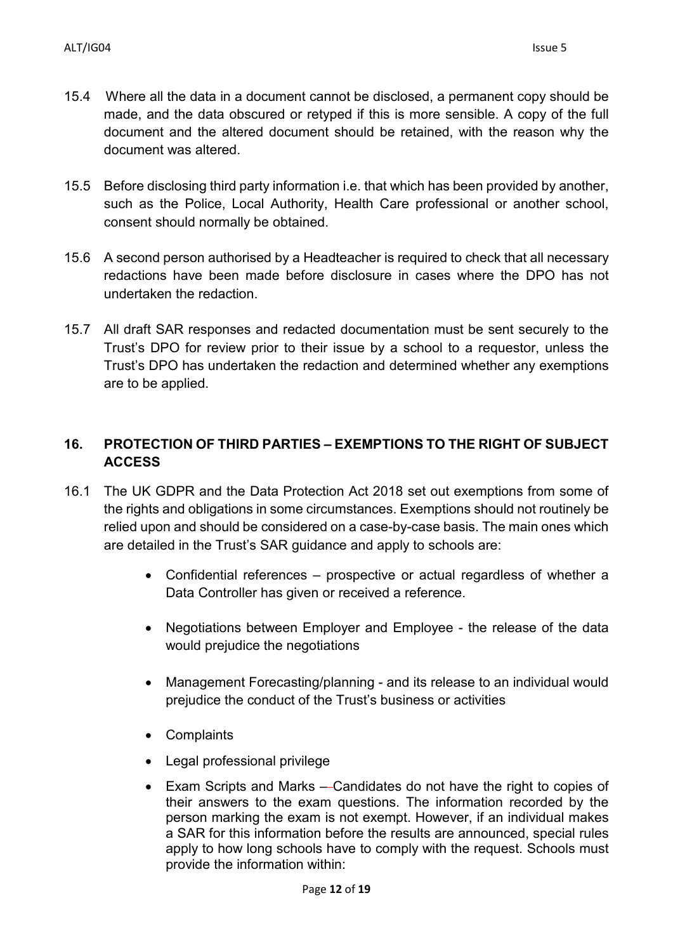- 15.4 Where all the data in a document cannot be disclosed, a permanent copy should be made, and the data obscured or retyped if this is more sensible. A copy of the full document and the altered document should be retained, with the reason why the document was altered.
- 15.5 Before disclosing third party information i.e. that which has been provided by another, such as the Police, Local Authority, Health Care professional or another school, consent should normally be obtained.
- 15.6 A second person authorised by a Headteacher is required to check that all necessary redactions have been made before disclosure in cases where the DPO has not undertaken the redaction.
- 15.7 All draft SAR responses and redacted documentation must be sent securely to the Trust's DPO for review prior to their issue by a school to a requestor, unless the Trust's DPO has undertaken the redaction and determined whether any exemptions are to be applied.

# **16. PROTECTION OF THIRD PARTIES – EXEMPTIONS TO THE RIGHT OF SUBJECT ACCESS**

- 16.1 The UK GDPR and the Data Protection Act 2018 set out exemptions from some of the rights and obligations in some circumstances. Exemptions should not routinely be relied upon and should be considered on a case-by-case basis. The main ones which are detailed in the Trust's SAR guidance and apply to schools are:
	- Confidential references prospective or actual regardless of whether a Data Controller has given or received a reference.
	- Negotiations between Employer and Employee the release of the data would prejudice the negotiations
	- Management Forecasting/planning and its release to an individual would prejudice the conduct of the Trust's business or activities
	- Complaints
	- Legal professional privilege
	- Exam Scripts and Marks Candidates do not have the right to copies of their answers to the exam questions. The information recorded by the person marking the exam is not exempt. However, if an individual makes a SAR for this information before the results are announced, special rules apply to how long schools have to comply with the request. Schools must provide the information within: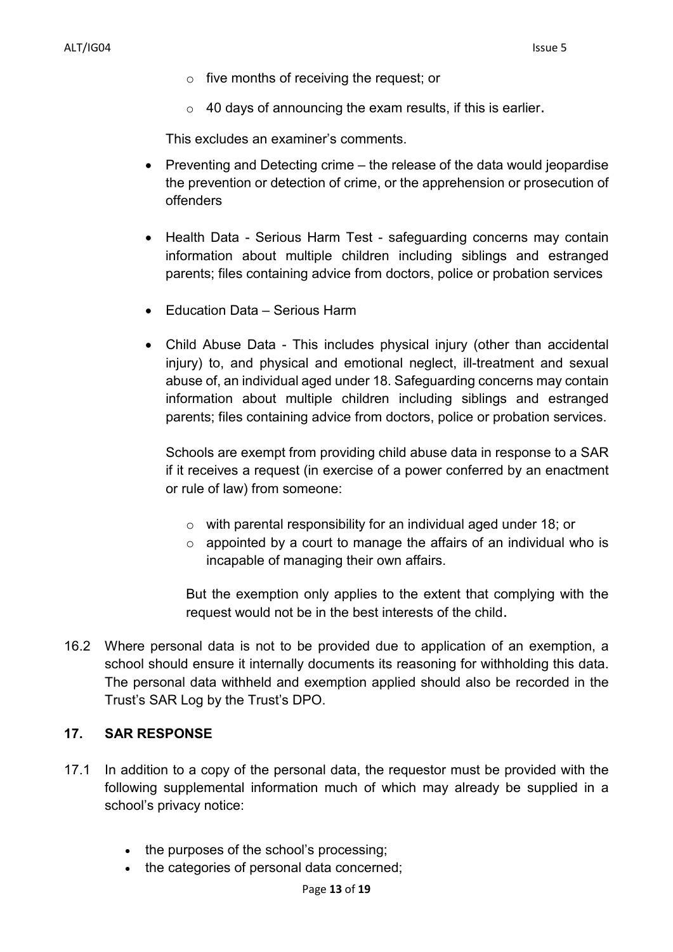- o five months of receiving the request; or
- $\circ$  40 days of announcing the exam results, if this is earlier.

This excludes an examiner's comments.

- Preventing and Detecting crime the release of the data would jeopardise the prevention or detection of crime, or the apprehension or prosecution of offenders
- Health Data Serious Harm Test safeguarding concerns may contain information about multiple children including siblings and estranged parents; files containing advice from doctors, police or probation services
- Education Data Serious Harm
- Child Abuse Data This includes physical injury (other than accidental injury) to, and physical and emotional neglect, ill-treatment and sexual abuse of, an individual aged under 18. Safeguarding concerns may contain information about multiple children including siblings and estranged parents; files containing advice from doctors, police or probation services.

Schools are exempt from providing child abuse data in response to a SAR if it receives a request (in exercise of a power conferred by an enactment or rule of law) from someone:

- $\circ$  with parental responsibility for an individual aged under 18; or
- $\circ$  appointed by a court to manage the affairs of an individual who is incapable of managing their own affairs.

But the exemption only applies to the extent that complying with the request would not be in the best interests of the child.

16.2 Where personal data is not to be provided due to application of an exemption, a school should ensure it internally documents its reasoning for withholding this data. The personal data withheld and exemption applied should also be recorded in the Trust's SAR Log by the Trust's DPO.

#### **17. SAR RESPONSE**

- 17.1 In addition to a copy of the personal data, the requestor must be provided with the following supplemental information much of which may already be supplied in a school's privacy notice:
	- the purposes of the school's processing;
	- the categories of personal data concerned;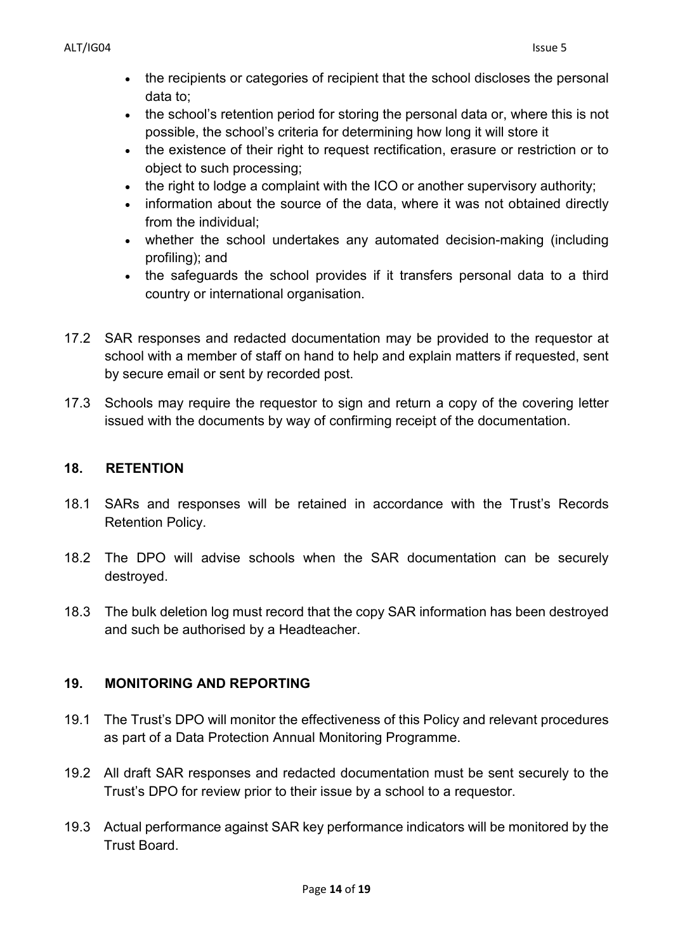- the recipients or categories of recipient that the school discloses the personal data to;
- the school's retention period for storing the personal data or, where this is not possible, the school's criteria for determining how long it will store it
- the existence of their right to request rectification, erasure or restriction or to object to such processing;
- the right to lodge a complaint with the ICO or another supervisory authority;
- information about the source of the data, where it was not obtained directly from the individual;
- whether the school undertakes any automated decision-making (including profiling); and
- the safeguards the school provides if it transfers personal data to a third country or international organisation.
- 17.2 SAR responses and redacted documentation may be provided to the requestor at school with a member of staff on hand to help and explain matters if requested, sent by secure email or sent by recorded post.
- 17.3 Schools may require the requestor to sign and return a copy of the covering letter issued with the documents by way of confirming receipt of the documentation.

# **18. RETENTION**

- 18.1 SARs and responses will be retained in accordance with the Trust's Records Retention Policy.
- 18.2 The DPO will advise schools when the SAR documentation can be securely destroyed.
- 18.3 The bulk deletion log must record that the copy SAR information has been destroyed and such be authorised by a Headteacher.

# **19. MONITORING AND REPORTING**

- 19.1 The Trust's DPO will monitor the effectiveness of this Policy and relevant procedures as part of a Data Protection Annual Monitoring Programme.
- 19.2 All draft SAR responses and redacted documentation must be sent securely to the Trust's DPO for review prior to their issue by a school to a requestor.
- 19.3 Actual performance against SAR key performance indicators will be monitored by the Trust Board.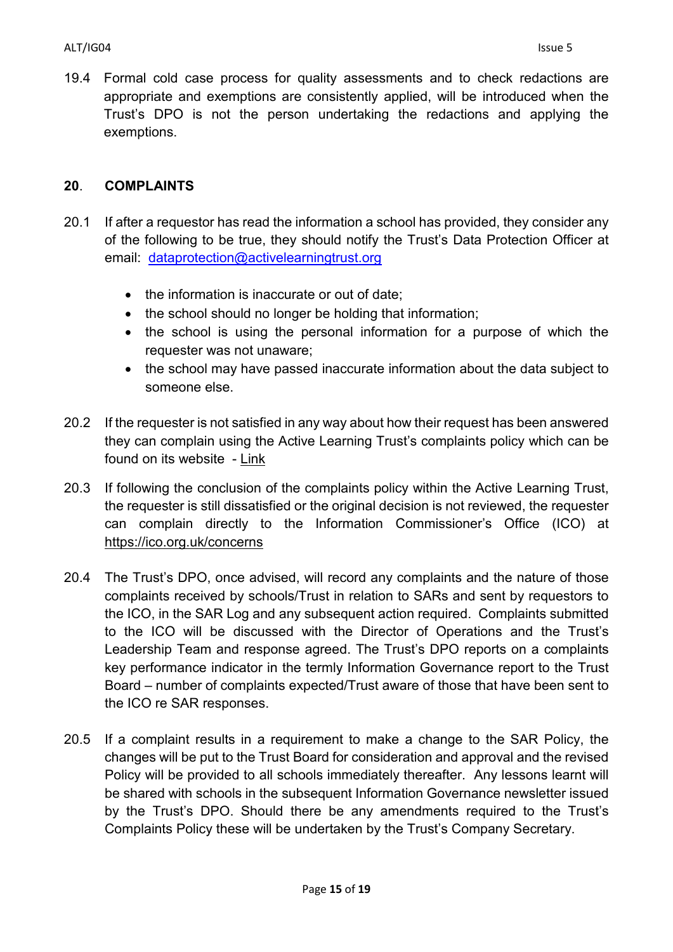19.4 Formal cold case process for quality assessments and to check redactions are appropriate and exemptions are consistently applied, will be introduced when the Trust's DPO is not the person undertaking the redactions and applying the exemptions.

#### **20**. **COMPLAINTS**

- 20.1 If after a requestor has read the information a school has provided, they consider any of the following to be true, they should notify the Trust's Data Protection Officer at email: [dataprotection@activelearningtrust.org](mailto:dataprotection@activelearningtrust.org)
	- the information is inaccurate or out of date:
	- the school should no longer be holding that information;
	- the school is using the personal information for a purpose of which the requester was not unaware;
	- the school may have passed inaccurate information about the data subject to someone else.
- 20.2 If the requester is not satisfied in any way about how their request has been answered they can complain using the Active Learning Trust's complaints policy which can be found on its website - [Link](http://www.activelearningtrust.org/about/Policies)
- 20.3 If following the conclusion of the complaints policy within the Active Learning Trust, the requester is still dissatisfied or the original decision is not reviewed, the requester can complain directly to the Information Commissioner's Office (ICO) at <https://ico.org.uk/concerns>
- 20.4 The Trust's DPO, once advised, will record any complaints and the nature of those complaints received by schools/Trust in relation to SARs and sent by requestors to the ICO, in the SAR Log and any subsequent action required. Complaints submitted to the ICO will be discussed with the Director of Operations and the Trust's Leadership Team and response agreed. The Trust's DPO reports on a complaints key performance indicator in the termly Information Governance report to the Trust Board – number of complaints expected/Trust aware of those that have been sent to the ICO re SAR responses.
- 20.5 If a complaint results in a requirement to make a change to the SAR Policy, the changes will be put to the Trust Board for consideration and approval and the revised Policy will be provided to all schools immediately thereafter. Any lessons learnt will be shared with schools in the subsequent Information Governance newsletter issued by the Trust's DPO. Should there be any amendments required to the Trust's Complaints Policy these will be undertaken by the Trust's Company Secretary.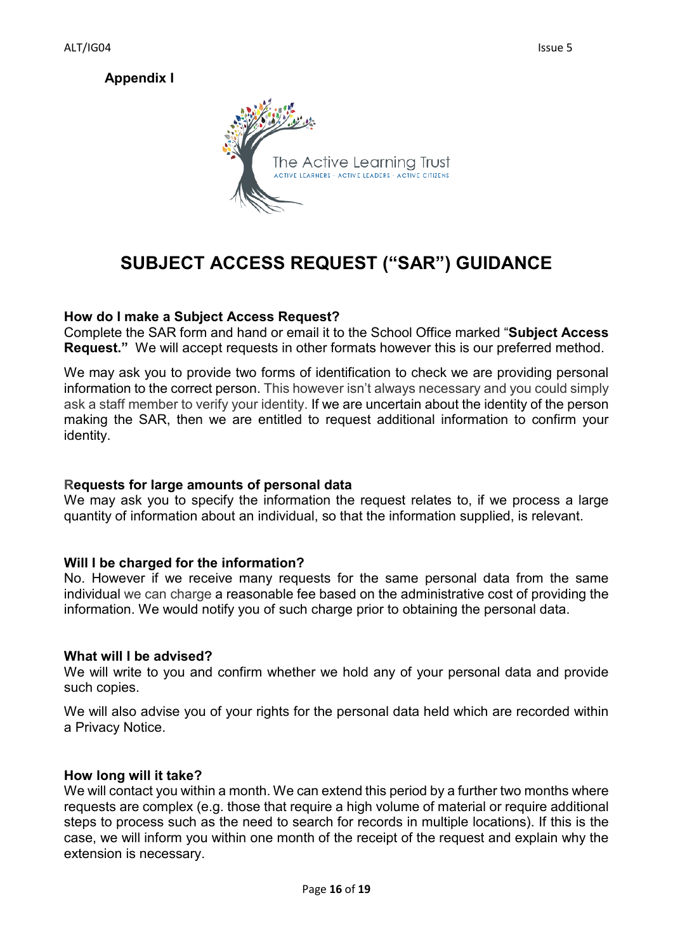# **Appendix I**



# **SUBJECT ACCESS REQUEST ("SAR") GUIDANCE**

#### **How do I make a Subject Access Request?**

Complete the SAR form and hand or email it to the School Office marked "**Subject Access Request."** We will accept requests in other formats however this is our preferred method.

We may ask you to provide two forms of identification to check we are providing personal information to the correct person. This however isn't always necessary and you could simply ask a staff member to verify your identity. If we are uncertain about the identity of the person making the SAR, then we are entitled to request additional information to confirm your identity.

#### **Requests for large amounts of personal data**

We may ask you to specify the information the request relates to, if we process a large quantity of information about an individual, so that the information supplied, is relevant.

#### **Will I be charged for the information?**

No. However if we receive many requests for the same personal data from the same individual we can charge a reasonable fee based on the administrative cost of providing the information. We would notify you of such charge prior to obtaining the personal data.

#### **What will I be advised?**

We will write to you and confirm whether we hold any of your personal data and provide such copies.

We will also advise you of your rights for the personal data held which are recorded within a Privacy Notice.

#### **How long will it take?**

We will contact you within a month. We can extend this period by a further two months where requests are complex (e.g. those that require a high volume of material or require additional steps to process such as the need to search for records in multiple locations). If this is the case, we will inform you within one month of the receipt of the request and explain why the extension is necessary.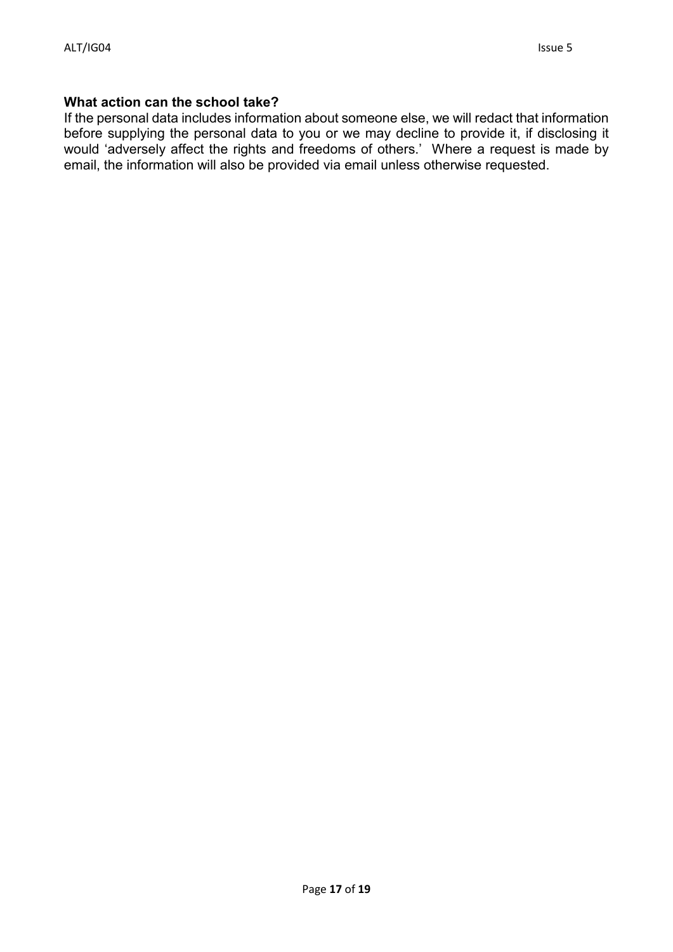#### **What action can the school take?**

If the personal data includes information about someone else, we will redact that information before supplying the personal data to you or we may decline to provide it, if disclosing it would 'adversely affect the rights and freedoms of others.' Where a request is made by email, the information will also be provided via email unless otherwise requested.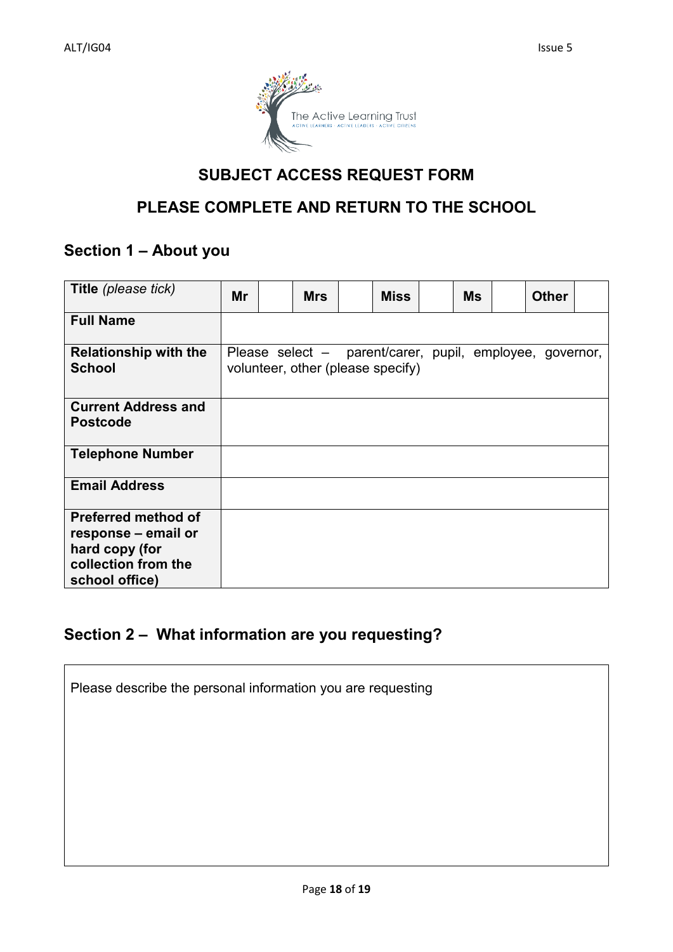

# **SUBJECT ACCESS REQUEST FORM**

# **PLEASE COMPLETE AND RETURN TO THE SCHOOL**

# **Section 1 – About you**

| Title (please tick)                                                                                          | Mr                                                                                            |  | <b>Mrs</b> |  | <b>Miss</b> | Ms | <b>Other</b> |  |
|--------------------------------------------------------------------------------------------------------------|-----------------------------------------------------------------------------------------------|--|------------|--|-------------|----|--------------|--|
| <b>Full Name</b>                                                                                             |                                                                                               |  |            |  |             |    |              |  |
| <b>Relationship with the</b><br><b>School</b>                                                                | Please select – parent/carer, pupil, employee, governor,<br>volunteer, other (please specify) |  |            |  |             |    |              |  |
| <b>Current Address and</b><br><b>Postcode</b>                                                                |                                                                                               |  |            |  |             |    |              |  |
| <b>Telephone Number</b>                                                                                      |                                                                                               |  |            |  |             |    |              |  |
| <b>Email Address</b>                                                                                         |                                                                                               |  |            |  |             |    |              |  |
| <b>Preferred method of</b><br>response – email or<br>hard copy (for<br>collection from the<br>school office) |                                                                                               |  |            |  |             |    |              |  |

# **Section 2 – What information are you requesting?**